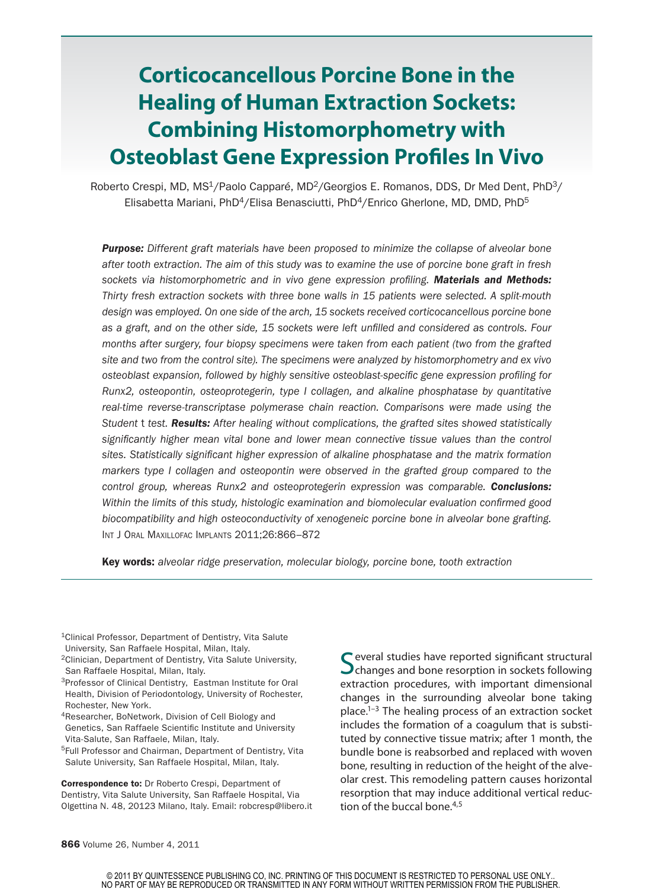# **Corticocancellous Porcine Bone in the Healing of Human Extraction Sockets: Combining Histomorphometry with Osteoblast Gene Expression Profiles In Vivo**

Roberto Crespi, MD, MS<sup>1</sup>/Paolo Capparé, MD<sup>2</sup>/Georgios E. Romanos, DDS, Dr Med Dent, PhD<sup>3</sup>/ Elisabetta Mariani, PhD<sup>4</sup>/Elisa Benasciutti, PhD<sup>4</sup>/Enrico Gherlone, MD, DMD, PhD<sup>5</sup>

*Purpose: Different graft materials have been proposed to minimize the collapse of alveolar bone after tooth extraction. The aim of this study was to examine the use of porcine bone graft in fresh sockets via histomorphometric and in vivo gene expression profiling. Materials and Methods: Thirty fresh extraction sockets with three bone walls in 15 patients were selected. A split-mouth design was employed. On one side of the arch, 15 sockets received corticocancellous porcine bone as a graft, and on the other side, 15 sockets were left unfilled and considered as controls. Four months after surgery, four biopsy specimens were taken from each patient (two from the grafted site and two from the control site). The specimens were analyzed by histomorphometry and ex vivo osteoblast expansion, followed by highly sensitive osteoblast-specific gene expression profiling for Runx2, osteopontin, osteoprotegerin, type I collagen, and alkaline phosphatase by quantitative real-time reverse-transcriptase polymerase chain reaction. Comparisons were made using the Student* t *test. Results: After healing without complications, the grafted sites showed statistically*  significantly higher mean vital bone and lower mean connective tissue values than the control *sites. Statistically significant higher expression of alkaline phosphatase and the matrix formation markers type I collagen and osteopontin were observed in the grafted group compared to the control group, whereas Runx2 and osteoprotegerin expression was comparable. Conclusions: Within the limits of this study, histologic examination and biomolecular evaluation confirmed good biocompatibility and high osteoconductivity of xenogeneic porcine bone in alveolar bone grafting.*  Int J Oral Maxillofac Implants 2011;26:866–872

Key words: *alveolar ridge preservation, molecular biology, porcine bone, tooth extraction*

<sup>1</sup>Clinical Professor, Department of Dentistry, Vita Salute University, San Raffaele Hospital, Milan, Italy.

2Clinician, Department of Dentistry, Vita Salute University, San Raffaele Hospital, Milan, Italy.

3Professor of Clinical Dentistry, Eastman Institute for Oral Health, Division of Periodontology, University of Rochester, Rochester, New York.

<sup>4</sup>Researcher, BoNetwork, Division of Cell Biology and Genetics, San Raffaele Scientific Institute and University Vita-Salute, San Raffaele, Milan, Italy.

5Full Professor and Chairman, Department of Dentistry, Vita Salute University, San Raffaele Hospital, Milan, Italy.

Correspondence to: Dr Roberto Crespi, Department of Dentistry, Vita Salute University, San Raffaele Hospital, Via Olgettina N. 48, 20123 Milano, Italy. Email: robcresp@libero.it Several studies have reported significant structural **O** changes and bone resorption in sockets following extraction procedures, with important dimensional changes in the surrounding alveolar bone taking place. $1-3$  The healing process of an extraction socket includes the formation of a coagulum that is substituted by connective tissue matrix; after 1 month, the bundle bone is reabsorbed and replaced with woven bone, resulting in reduction of the height of the alveolar crest. This remodeling pattern causes horizontal resorption that may induce additional vertical reduction of the buccal bone. $4,5$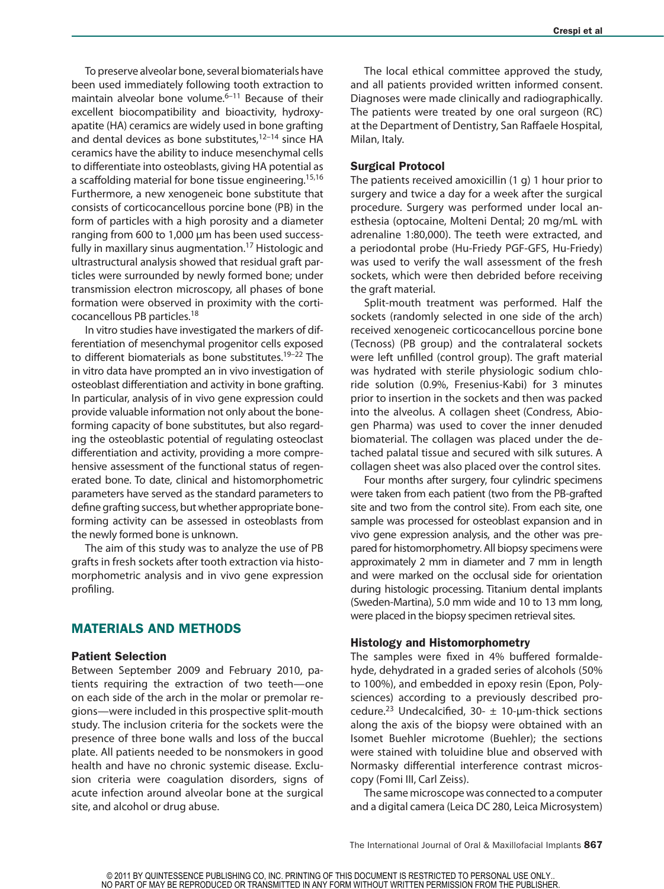To preserve alveolar bone, several biomaterials have been used immediately following tooth extraction to maintain alveolar bone volume. $6-11$  Because of their excellent biocompatibility and bioactivity, hydroxyapatite (HA) ceramics are widely used in bone grafting and dental devices as bone substitutes, $12-14$  since HA ceramics have the ability to induce mesenchymal cells to differentiate into osteoblasts, giving HA potential as a scaffolding material for bone tissue engineering.<sup>15,16</sup> Furthermore, a new xenogeneic bone substitute that consists of corticocancellous porcine bone (PB) in the form of particles with a high porosity and a diameter ranging from 600 to 1,000 µm has been used successfully in maxillary sinus augmentation.<sup>17</sup> Histologic and ultrastructural analysis showed that residual graft particles were surrounded by newly formed bone; under transmission electron microscopy, all phases of bone formation were observed in proximity with the corticocancellous PB particles.18

In vitro studies have investigated the markers of differentiation of mesenchymal progenitor cells exposed to different biomaterials as bone substitutes.<sup>19-22</sup> The in vitro data have prompted an in vivo investigation of osteoblast differentiation and activity in bone grafting. In particular, analysis of in vivo gene expression could provide valuable information not only about the boneforming capacity of bone substitutes, but also regarding the osteoblastic potential of regulating osteoclast differentiation and activity, providing a more comprehensive assessment of the functional status of regenerated bone. To date, clinical and histomorphometric parameters have served as the standard parameters to define grafting success, but whether appropriate boneforming activity can be assessed in osteoblasts from the newly formed bone is unknown.

The aim of this study was to analyze the use of PB grafts in fresh sockets after tooth extraction via histomorphometric analysis and in vivo gene expression profiling.

# MATERIALS AND METHODS

#### Patient Selection

Between September 2009 and February 2010, patients requiring the extraction of two teeth—one on each side of the arch in the molar or premolar regions—were included in this prospective split-mouth study. The inclusion criteria for the sockets were the presence of three bone walls and loss of the buccal plate. All patients needed to be nonsmokers in good health and have no chronic systemic disease. Exclusion criteria were coagulation disorders, signs of acute infection around alveolar bone at the surgical site, and alcohol or drug abuse.

The local ethical committee approved the study, and all patients provided written informed consent. Diagnoses were made clinically and radiographically. The patients were treated by one oral surgeon (RC) at the Department of Dentistry, San Raffaele Hospital, Milan, Italy.

#### Surgical Protocol

The patients received amoxicillin (1 g) 1 hour prior to surgery and twice a day for a week after the surgical procedure. Surgery was performed under local anesthesia (optocaine, Molteni Dental; 20 mg/mL with adrenaline 1:80,000). The teeth were extracted, and a periodontal probe (Hu-Friedy PGF-GFS, Hu-Friedy) was used to verify the wall assessment of the fresh sockets, which were then debrided before receiving the graft material.

Split-mouth treatment was performed. Half the sockets (randomly selected in one side of the arch) received xenogeneic corticocancellous porcine bone (Tecnoss) (PB group) and the contralateral sockets were left unfilled (control group). The graft material was hydrated with sterile physiologic sodium chloride solution (0.9%, Fresenius-Kabi) for 3 minutes prior to insertion in the sockets and then was packed into the alveolus. A collagen sheet (Condress, Abiogen Pharma) was used to cover the inner denuded biomaterial. The collagen was placed under the detached palatal tissue and secured with silk sutures. A collagen sheet was also placed over the control sites.

Four months after surgery, four cylindric specimens were taken from each patient (two from the PB-grafted site and two from the control site). From each site, one sample was processed for osteoblast expansion and in vivo gene expression analysis, and the other was prepared for histomorphometry. All biopsy specimens were approximately 2 mm in diameter and 7 mm in length and were marked on the occlusal side for orientation during histologic processing. Titanium dental implants (Sweden-Martina), 5.0 mm wide and 10 to 13 mm long, were placed in the biopsy specimen retrieval sites.

### Histology and Histomorphometry

The samples were fixed in 4% buffered formaldehyde, dehydrated in a graded series of alcohols (50% to 100%), and embedded in epoxy resin (Epon, Polysciences) according to a previously described procedure.<sup>23</sup> Undecalcified, 30-  $\pm$  10-µm-thick sections along the axis of the biopsy were obtained with an Isomet Buehler microtome (Buehler); the sections were stained with toluidine blue and observed with Normasky differential interference contrast microscopy (Fomi III, Carl Zeiss).

The same microscope was connected to a computer and a digital camera (Leica DC 280, Leica Microsystem)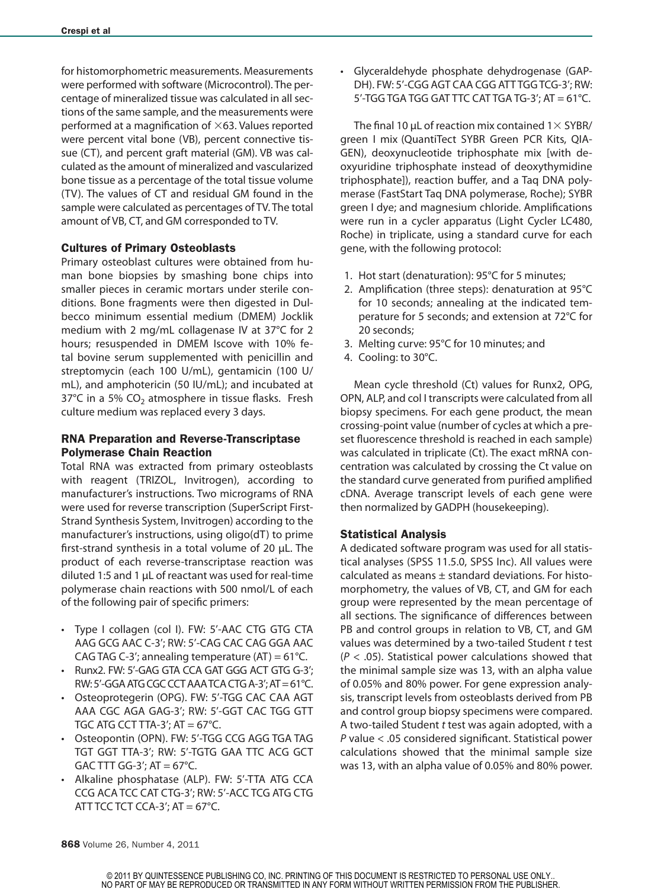for histomorphometric measurements. Measurements were performed with software (Microcontrol). The percentage of mineralized tissue was calculated in all sections of the same sample, and the measurements were performed at a magnification of  $\times$ 63. Values reported were percent vital bone (VB), percent connective tissue (CT), and percent graft material (GM). VB was calculated as the amount of mineralized and vascularized bone tissue as a percentage of the total tissue volume (TV). The values of CT and residual GM found in the sample were calculated as percentages of TV. The total amount of VB, CT, and GM corresponded to TV.

### Cultures of Primary Osteoblasts

Primary osteoblast cultures were obtained from human bone biopsies by smashing bone chips into smaller pieces in ceramic mortars under sterile conditions. Bone fragments were then digested in Dulbecco minimum essential medium (DMEM) Jocklik medium with 2 mg/mL collagenase IV at 37°C for 2 hours; resuspended in DMEM Iscove with 10% fetal bovine serum supplemented with penicillin and streptomycin (each 100 U/mL), gentamicin (100 U/ mL), and amphotericin (50 IU/mL); and incubated at 37°C in a 5% CO<sub>2</sub> atmosphere in tissue flasks. Fresh culture medium was replaced every 3 days.

## RNA Preparation and Reverse-Transcriptase Polymerase Chain Reaction

Total RNA was extracted from primary osteoblasts with reagent (TRIZOL, Invitrogen), according to manufacturer's instructions. Two micrograms of RNA were used for reverse transcription (SuperScript First-Strand Synthesis System, Invitrogen) according to the manufacturer's instructions, using oligo(dT) to prime first-strand synthesis in a total volume of 20 µL. The product of each reverse-transcriptase reaction was diluted 1:5 and 1 µL of reactant was used for real-time polymerase chain reactions with 500 nmol/L of each of the following pair of specific primers:

- Type I collagen (col I). FW: 5'-AAC CTG GTG CTA AAG GCG AAC C-3'; RW: 5'-CAG CAC CAG GGA AAC CAG TAG C-3'; annealing temperature  $(AT) = 61^{\circ}C$ .
- Runx2. FW: 5'-GAG GTA CCA GAT GGG ACT GTG G-3'; RW: 5'-GGA ATG CGC CCT AAA TCA CTG A-3'; AT = 61°C.
- Osteoprotegerin (OPG). FW: 5'-TGG CAC CAA AGT AAA CGC AGA GAG-3'; RW: 5'-GGT CAC TGG GTT TGC ATG CCT TTA-3';  $AT = 67^{\circ}C$ .
- Osteopontin (OPN). FW: 5'-TGG CCG AGG TGA TAG TGT GGT TTA-3'; RW: 5'-TGTG GAA TTC ACG GCT GAC TTT GG-3';  $AT = 67^{\circ}C$ .
- Alkaline phosphatase (ALP). FW: 5'-TTA ATG CCA CCG ACA TCC CAT CTG-3'; RW: 5'-ACC TCG ATG CTG ATT TCC TCT CCA-3';  $AT = 67^{\circ}C$ .

• Glyceraldehyde phosphate dehydrogenase (GAP-DH). FW: 5'-CGG AGT CAA CGG ATT TGG TCG-3'; RW:  $5'$ -TGG TGA TGG GAT TTC CAT TGA TG-3'; AT = 61 $^{\circ}$ C.

The final 10  $\mu$ L of reaction mix contained 1 $\times$  SYBR/ green I mix (QuantiTect SYBR Green PCR Kits, QIA-GEN), deoxynucleotide triphosphate mix [with deoxyuridine triphosphate instead of deoxythymidine triphosphate]), reaction buffer, and a Taq DNA polymerase (FastStart Taq DNA polymerase, Roche); SYBR green I dye; and magnesium chloride. Amplifications were run in a cycler apparatus (Light Cycler LC480, Roche) in triplicate, using a standard curve for each gene, with the following protocol:

- 1. Hot start (denaturation): 95°C for 5 minutes;
- 2. Amplification (three steps): denaturation at 95°C for 10 seconds; annealing at the indicated temperature for 5 seconds; and extension at 72°C for 20 seconds;
- 3. Melting curve: 95°C for 10 minutes; and
- 4. Cooling: to 30°C.

Mean cycle threshold (Ct) values for Runx2, OPG, OPN, ALP, and col I transcripts were calculated from all biopsy specimens. For each gene product, the mean crossing-point value (number of cycles at which a preset fluorescence threshold is reached in each sample) was calculated in triplicate (Ct). The exact mRNA concentration was calculated by crossing the Ct value on the standard curve generated from purified amplified cDNA. Average transcript levels of each gene were then normalized by GADPH (housekeeping).

# Statistical Analysis

A dedicated software program was used for all statistical analyses (SPSS 11.5.0, SPSS Inc). All values were calculated as means  $\pm$  standard deviations. For histomorphometry, the values of VB, CT, and GM for each group were represented by the mean percentage of all sections. The significance of differences between PB and control groups in relation to VB, CT, and GM values was determined by a two-tailed Student *t* test (*P* < .05). Statistical power calculations showed that the minimal sample size was 13, with an alpha value of 0.05% and 80% power. For gene expression analysis, transcript levels from osteoblasts derived from PB and control group biopsy specimens were compared. A two-tailed Student *t* test was again adopted, with a *P* value < .05 considered significant. Statistical power calculations showed that the minimal sample size was 13, with an alpha value of 0.05% and 80% power.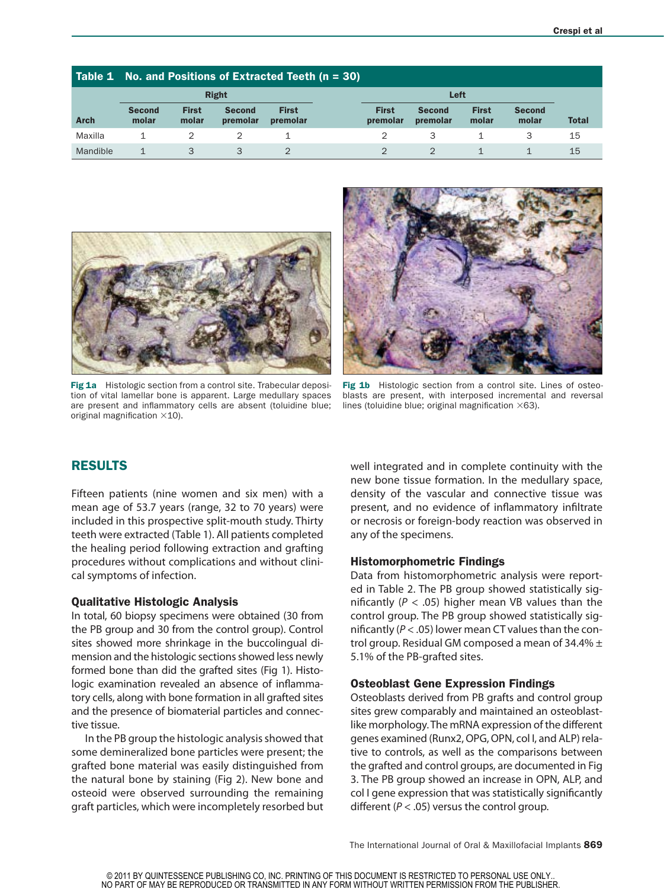|             | Table 1 No. and Positions of Extracted Teeth $(n = 30)$ |                       |                           |                          |                                                                                                          |              |  |
|-------------|---------------------------------------------------------|-----------------------|---------------------------|--------------------------|----------------------------------------------------------------------------------------------------------|--------------|--|
|             |                                                         |                       | <b>Right</b>              |                          | Left                                                                                                     |              |  |
| <b>Arch</b> | <b>Second</b><br>molar                                  | <b>First</b><br>molar | <b>Second</b><br>premolar | <b>First</b><br>premolar | <b>First</b><br><b>First</b><br><b>Second</b><br><b>Second</b><br>molar<br>premolar<br>molar<br>premolar | <b>Total</b> |  |
| Maxilla     |                                                         |                       |                           |                          |                                                                                                          | 15           |  |
| Mandible    |                                                         |                       |                           |                          |                                                                                                          | 15           |  |



Fig 1a Histologic section from a control site. Trabecular deposition of vital lamellar bone is apparent. Large medullary spaces are present and inflammatory cells are absent (toluidine blue; original magnification  $\times$ 10).



Fig 1b Histologic section from a control site. Lines of osteoblasts are present, with interposed incremental and reversal lines (toluidine blue; original magnification  $\times$ 63).

# RESULTS

Fifteen patients (nine women and six men) with a mean age of 53.7 years (range, 32 to 70 years) were included in this prospective split-mouth study. Thirty teeth were extracted (Table 1). All patients completed the healing period following extraction and grafting procedures without complications and without clinical symptoms of infection.

#### Qualitative Histologic Analysis

In total, 60 biopsy specimens were obtained (30 from the PB group and 30 from the control group). Control sites showed more shrinkage in the buccolingual dimension and the histologic sections showed less newly formed bone than did the grafted sites (Fig 1). Histologic examination revealed an absence of inflammatory cells, along with bone formation in all grafted sites and the presence of biomaterial particles and connective tissue.

In the PB group the histologic analysis showed that some demineralized bone particles were present; the grafted bone material was easily distinguished from the natural bone by staining (Fig 2). New bone and osteoid were observed surrounding the remaining graft particles, which were incompletely resorbed but well integrated and in complete continuity with the new bone tissue formation. In the medullary space, density of the vascular and connective tissue was present, and no evidence of inflammatory infiltrate or necrosis or foreign-body reaction was observed in any of the specimens.

#### Histomorphometric Findings

Data from histomorphometric analysis were reported in Table 2. The PB group showed statistically significantly ( $P < .05$ ) higher mean VB values than the control group. The PB group showed statistically significantly (*P* < .05) lower mean CT values than the control group. Residual GM composed a mean of 34.4%  $\pm$ 5.1% of the PB-grafted sites.

#### Osteoblast Gene Expression Findings

Osteoblasts derived from PB grafts and control group sites grew comparably and maintained an osteoblastlike morphology. The mRNA expression of the different genes examined (Runx2, OPG, OPN, col I, and ALP) relative to controls, as well as the comparisons between the grafted and control groups, are documented in Fig 3. The PB group showed an increase in OPN, ALP, and col I gene expression that was statistically significantly different (*P* < .05) versus the control group.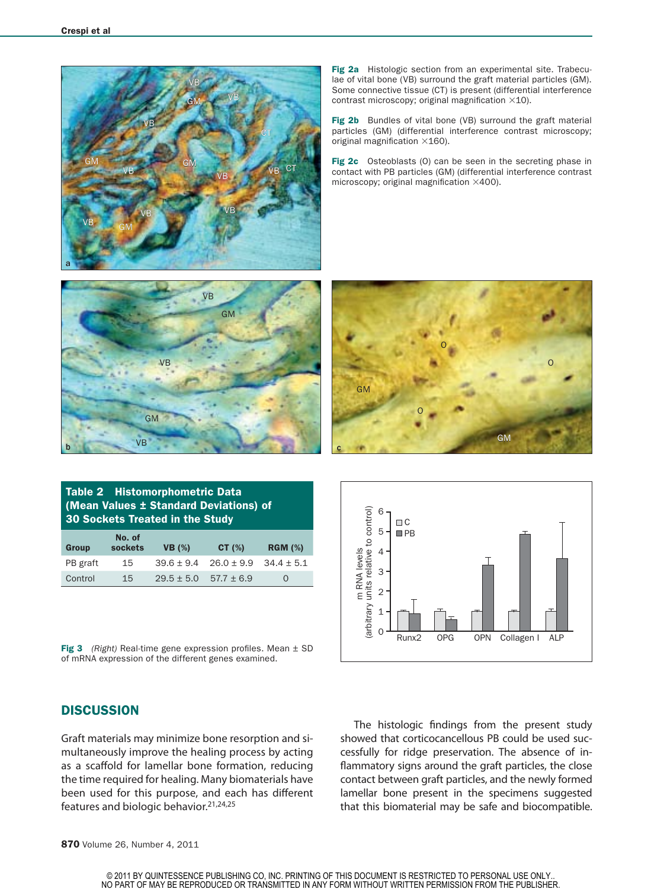

Fig 2a Histologic section from an experimental site. Trabeculae of vital bone (VB) surround the graft material particles (GM). Some connective tissue (CT) is present (differential interference contrast microscopy; original magnification ×10).

Fig 2b Bundles of vital bone (VB) surround the graft material particles (GM) (differential interference contrast microscopy; original magnification ×160).

Fig 2c Osteoblasts (0) can be seen in the secreting phase in contact with PB particles (GM) (differential interference contrast microscopy; original magnification ×400).







Table 2 Histomorphometric Data (Mean Values ± Standard Deviations) of 30 Sockets Treated in the Study

| Group    | No. of<br>sockets | <b>VB</b> (%)  | CT $(\%)$      | <b>RGM (%)</b> |
|----------|-------------------|----------------|----------------|----------------|
| PB graft | 15                | $39.6 \pm 9.4$ | $26.0 \pm 9.9$ | $34.4 \pm 5.1$ |
| Control  | 15                | $29.5 \pm 5.0$ | $57.7 \pm 6.9$ | $\Omega$       |

Fig 3 *(Right)* Real-time gene expression profiles. Mean ± SD of mRNA expression of the different genes examined.

### **DISCUSSION**

Graft materials may minimize bone resorption and simultaneously improve the healing process by acting as a scaffold for lamellar bone formation, reducing the time required for healing. Many biomaterials have been used for this purpose, and each has different features and biologic behavior.21,24,25

The histologic findings from the present study showed that corticocancellous PB could be used successfully for ridge preservation. The absence of inflammatory signs around the graft particles, the close contact between graft particles, and the newly formed lamellar bone present in the specimens suggested that this biomaterial may be safe and biocompatible.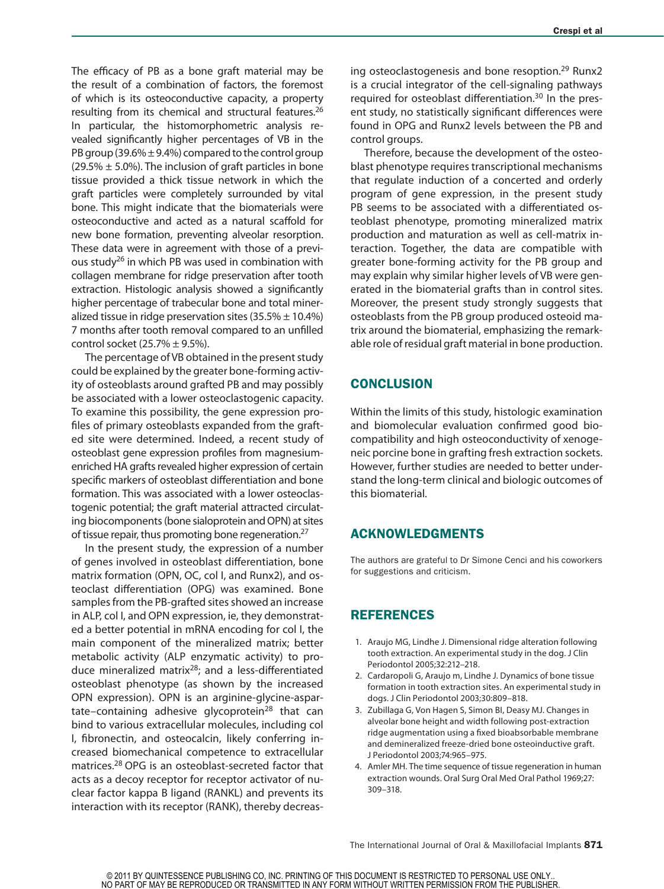The efficacy of PB as a bone graft material may be the result of a combination of factors, the foremost of which is its osteoconductive capacity, a property resulting from its chemical and structural features.<sup>26</sup> In particular, the histomorphometric analysis revealed significantly higher percentages of VB in the PB group (39.6%  $\pm$  9.4%) compared to the control group  $(29.5\% \pm 5.0\%)$ . The inclusion of graft particles in bone tissue provided a thick tissue network in which the graft particles were completely surrounded by vital bone. This might indicate that the biomaterials were osteoconductive and acted as a natural scaffold for new bone formation, preventing alveolar resorption. These data were in agreement with those of a previous study<sup>26</sup> in which PB was used in combination with collagen membrane for ridge preservation after tooth extraction. Histologic analysis showed a significantly higher percentage of trabecular bone and total mineralized tissue in ridge preservation sites  $(35.5\% \pm 10.4\%)$ 7 months after tooth removal compared to an unfilled control socket  $(25.7\% \pm 9.5\%).$ 

The percentage of VB obtained in the present study could be explained by the greater bone-forming activity of osteoblasts around grafted PB and may possibly be associated with a lower osteoclastogenic capacity. To examine this possibility, the gene expression profiles of primary osteoblasts expanded from the grafted site were determined. Indeed, a recent study of osteoblast gene expression profiles from magnesiumenriched HA grafts revealed higher expression of certain specific markers of osteoblast differentiation and bone formation. This was associated with a lower osteoclastogenic potential; the graft material attracted circulating biocomponents (bone sialoprotein and OPN) at sites of tissue repair, thus promoting bone regeneration.<sup>27</sup>

In the present study, the expression of a number of genes involved in osteoblast differentiation, bone matrix formation (OPN, OC, col I, and Runx2), and osteoclast differentiation (OPG) was examined. Bone samples from the PB-grafted sites showed an increase in ALP, col I, and OPN expression, ie, they demonstrated a better potential in mRNA encoding for col I, the main component of the mineralized matrix; better metabolic activity (ALP enzymatic activity) to produce mineralized matrix28; and a less-differentiated osteoblast phenotype (as shown by the increased OPN expression). OPN is an arginine-glycine-aspartate–containing adhesive glycoprotein<sup>28</sup> that can bind to various extracellular molecules, including col I, fibronectin, and osteocalcin, likely conferring increased biomechanical competence to extracellular matrices.28 OPG is an osteoblast-secreted factor that acts as a decoy receptor for receptor activator of nuclear factor kappa B ligand (RANKL) and prevents its interaction with its receptor (RANK), thereby decreasing osteoclastogenesis and bone resoption.<sup>29</sup> Runx2 is a crucial integrator of the cell-signaling pathways required for osteoblast differentiation.<sup>30</sup> In the present study, no statistically significant differences were found in OPG and Runx2 levels between the PB and control groups.

Therefore, because the development of the osteoblast phenotype requires transcriptional mechanisms that regulate induction of a concerted and orderly program of gene expression, in the present study PB seems to be associated with a differentiated osteoblast phenotype, promoting mineralized matrix production and maturation as well as cell-matrix interaction. Together, the data are compatible with greater bone-forming activity for the PB group and may explain why similar higher levels of VB were generated in the biomaterial grafts than in control sites. Moreover, the present study strongly suggests that osteoblasts from the PB group produced osteoid matrix around the biomaterial, emphasizing the remarkable role of residual graft material in bone production.

# **CONCLUSION**

Within the limits of this study, histologic examination and biomolecular evaluation confirmed good biocompatibility and high osteoconductivity of xenogeneic porcine bone in grafting fresh extraction sockets. However, further studies are needed to better understand the long-term clinical and biologic outcomes of this biomaterial.

# ACKNOWLEDGMENTS

The authors are grateful to Dr Simone Cenci and his coworkers for suggestions and criticism.

# REFERENCES

- 1. Araujo MG, Lindhe J. Dimensional ridge alteration following tooth extraction. An experimental study in the dog. J Clin Periodontol 2005;32:212–218.
- 2. Cardaropoli G, Araujo m, Lindhe J. Dynamics of bone tissue formation in tooth extraction sites. An experimental study in dogs. J Clin Periodontol 2003;30:809–818.
- 3. Zubillaga G, Von Hagen S, Simon BI, Deasy MJ. Changes in alveolar bone height and width following post-extraction ridge augmentation using a fixed bioabsorbable membrane and demineralized freeze-dried bone osteoinductive graft. J Periodontol 2003;74:965–975.
- 4. Amler MH. The time sequence of tissue regeneration in human extraction wounds. Oral Surg Oral Med Oral Pathol 1969;27: 309–318.

The International Journal of Oral & Maxillofacial Implants 871